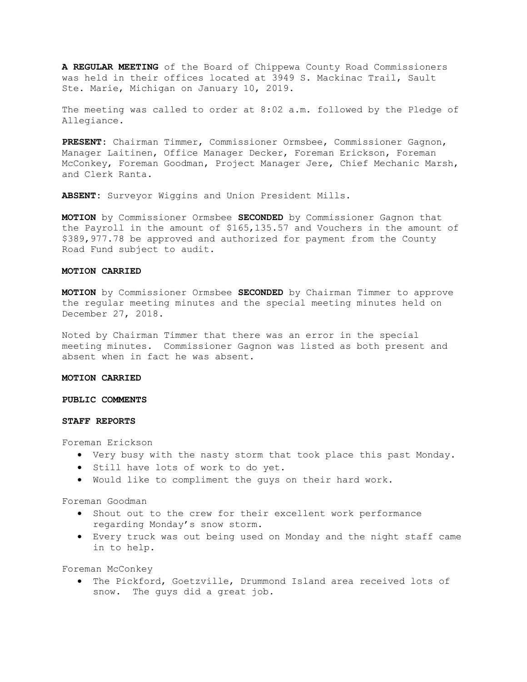A REGULAR MEETING of the Board of Chippewa County Road Commissioners was held in their offices located at 3949 S. Mackinac Trail, Sault Ste. Marie, Michigan on January 10, 2019.

The meeting was called to order at 8:02 a.m. followed by the Pledge of Allegiance.

PRESENT: Chairman Timmer, Commissioner Ormsbee, Commissioner Gagnon, Manager Laitinen, Office Manager Decker, Foreman Erickson, Foreman McConkey, Foreman Goodman, Project Manager Jere, Chief Mechanic Marsh, and Clerk Ranta.

ABSENT: Surveyor Wiggins and Union President Mills.

MOTION by Commissioner Ormsbee SECONDED by Commissioner Gagnon that the Payroll in the amount of \$165,135.57 and Vouchers in the amount of \$389,977.78 be approved and authorized for payment from the County Road Fund subject to audit.

### MOTION CARRIED

**MOTION** by Commissioner Ormsbee SECONDED by Chairman Timmer to approve the regular meeting minutes and the special meeting minutes held on December 27, 2018.

Noted by Chairman Timmer that there was an error in the special meeting minutes. Commissioner Gagnon was listed as both present and absent when in fact he was absent.

### MOTION CARRIED

#### PUBLIC COMMENTS

#### STAFF REPORTS

Foreman Erickson

- Very busy with the nasty storm that took place this past Monday.
- **•** Still have lots of work to do yet.
- Would like to compliment the guys on their hard work.

Foreman Goodman

- Shout out to the crew for their excellent work performance regarding Monday's snow storm.
- Every truck was out being used on Monday and the night staff came in to help.

Foreman McConkey

 The Pickford, Goetzville, Drummond Island area received lots of snow. The guys did a great job.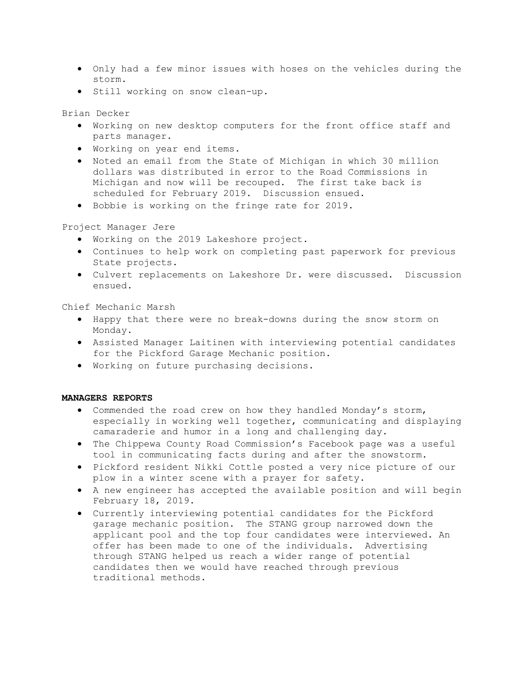- Only had a few minor issues with hoses on the vehicles during the storm.
- Still working on snow clean-up.

Brian Decker

- Working on new desktop computers for the front office staff and parts manager.
- Working on year end items.
- Noted an email from the State of Michigan in which 30 million dollars was distributed in error to the Road Commissions in Michigan and now will be recouped. The first take back is scheduled for February 2019. Discussion ensued.
- Bobbie is working on the fringe rate for 2019.

Project Manager Jere

- Working on the 2019 Lakeshore project.
- Continues to help work on completing past paperwork for previous State projects.
- Culvert replacements on Lakeshore Dr. were discussed. Discussion ensued.

Chief Mechanic Marsh

- Happy that there were no break-downs during the snow storm on Monday.
- Assisted Manager Laitinen with interviewing potential candidates for the Pickford Garage Mechanic position.
- Working on future purchasing decisions.

### MANAGERS REPORTS

- Commended the road crew on how they handled Monday's storm, especially in working well together, communicating and displaying camaraderie and humor in a long and challenging day.
- The Chippewa County Road Commission's Facebook page was a useful tool in communicating facts during and after the snowstorm.
- Pickford resident Nikki Cottle posted a very nice picture of our plow in a winter scene with a prayer for safety.
- A new engineer has accepted the available position and will begin February 18, 2019.
- Currently interviewing potential candidates for the Pickford garage mechanic position. The STANG group narrowed down the applicant pool and the top four candidates were interviewed. An offer has been made to one of the individuals. Advertising through STANG helped us reach a wider range of potential candidates then we would have reached through previous traditional methods.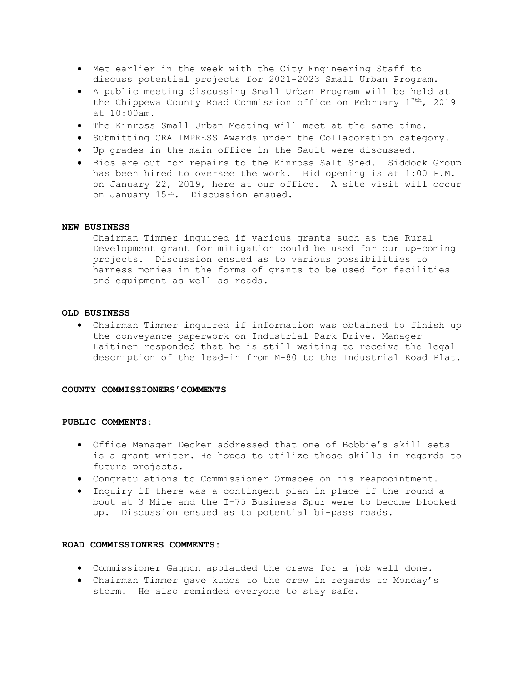- Met earlier in the week with the City Engineering Staff to discuss potential projects for 2021-2023 Small Urban Program.
- A public meeting discussing Small Urban Program will be held at the Chippewa County Road Commission office on February  $1^{7th}$ , 2019 at 10:00am.
- The Kinross Small Urban Meeting will meet at the same time.
- Submitting CRA IMPRESS Awards under the Collaboration category.
- Up-grades in the main office in the Sault were discussed.
- Bids are out for repairs to the Kinross Salt Shed. Siddock Group has been hired to oversee the work. Bid opening is at 1:00 P.M. on January 22, 2019, here at our office. A site visit will occur on January 15<sup>th</sup>. Discussion ensued.

### NEW BUSINESS

Chairman Timmer inquired if various grants such as the Rural Development grant for mitigation could be used for our up-coming projects. Discussion ensued as to various possibilities to harness monies in the forms of grants to be used for facilities and equipment as well as roads.

# OLD BUSINESS

 Chairman Timmer inquired if information was obtained to finish up the conveyance paperwork on Industrial Park Drive. Manager Laitinen responded that he is still waiting to receive the legal description of the lead-in from M-80 to the Industrial Road Plat.

#### COUNTY COMMISSIONERS'COMMENTS

## PUBLIC COMMENTS:

- Office Manager Decker addressed that one of Bobbie's skill sets is a grant writer. He hopes to utilize those skills in regards to future projects.
- Congratulations to Commissioner Ormsbee on his reappointment.
- Inquiry if there was a contingent plan in place if the round-about at 3 Mile and the I-75 Business Spur were to become blocked up. Discussion ensued as to potential bi-pass roads.

#### ROAD COMMISSIONERS COMMENTS:

- Commissioner Gagnon applauded the crews for a job well done.
- Chairman Timmer gave kudos to the crew in regards to Monday's storm. He also reminded everyone to stay safe.